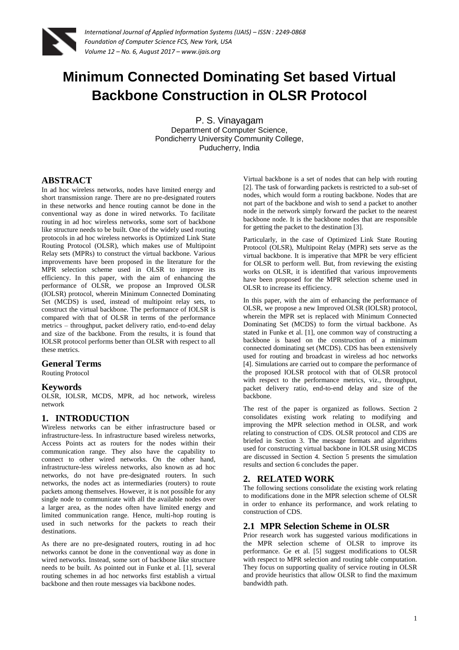

# **Minimum Connected Dominating Set based Virtual Backbone Construction in OLSR Protocol**

P. S. Vinayagam Department of Computer Science, Pondicherry University Community College, Puducherry, India

### **ABSTRACT**

In ad hoc wireless networks, nodes have limited energy and short transmission range. There are no pre-designated routers in these networks and hence routing cannot be done in the conventional way as done in wired networks. To facilitate routing in ad hoc wireless networks, some sort of backbone like structure needs to be built. One of the widely used routing protocols in ad hoc wireless networks is Optimized Link State Routing Protocol (OLSR), which makes use of Multipoint Relay sets (MPRs) to construct the virtual backbone. Various improvements have been proposed in the literature for the MPR selection scheme used in OLSR to improve its efficiency. In this paper, with the aim of enhancing the performance of OLSR, we propose an Improved OLSR (IOLSR) protocol, wherein Minimum Connected Dominating Set (MCDS) is used, instead of multipoint relay sets, to construct the virtual backbone. The performance of IOLSR is compared with that of OLSR in terms of the performance metrics – throughput, packet delivery ratio, end-to-end delay and size of the backbone. From the results, it is found that IOLSR protocol performs better than OLSR with respect to all these metrics.

### **General Terms**

Routing Protocol

### **Keywords**

OLSR, IOLSR, MCDS, MPR, ad hoc network, wireless network

### **1. INTRODUCTION**

Wireless networks can be either infrastructure based or infrastructure-less. In infrastructure based wireless networks, Access Points act as routers for the nodes within their communication range. They also have the capability to connect to other wired networks. On the other hand, infrastructure-less wireless networks, also known as ad hoc networks, do not have pre-designated routers. In such networks, the nodes act as intermediaries (routers) to route packets among themselves. However, it is not possible for any single node to communicate with all the available nodes over a larger area, as the nodes often have limited energy and limited communication range. Hence, multi-hop routing is used in such networks for the packets to reach their destinations.

As there are no pre-designated routers, routing in ad hoc networks cannot be done in the conventional way as done in wired networks. Instead, some sort of backbone like structure needs to be built. As pointed out in Funke et al. [1], several routing schemes in ad hoc networks first establish a virtual backbone and then route messages via backbone nodes.

Virtual backbone is a set of nodes that can help with routing [2]. The task of forwarding packets is restricted to a sub-set of nodes, which would form a routing backbone. Nodes that are not part of the backbone and wish to send a packet to another node in the network simply forward the packet to the nearest backbone node. It is the backbone nodes that are responsible for getting the packet to the destination [3].

Particularly, in the case of Optimized Link State Routing Protocol (OLSR), Multipoint Relay (MPR) sets serve as the virtual backbone. It is imperative that MPR be very efficient for OLSR to perform well. But, from reviewing the existing works on OLSR, it is identified that various improvements have been proposed for the MPR selection scheme used in OLSR to increase its efficiency.

In this paper, with the aim of enhancing the performance of OLSR, we propose a new Improved OLSR (IOLSR) protocol, wherein the MPR set is replaced with Minimum Connected Dominating Set (MCDS) to form the virtual backbone. As stated in Funke et al. [1], one common way of constructing a backbone is based on the construction of a minimum connected dominating set (MCDS). CDS has been extensively used for routing and broadcast in wireless ad hoc networks [4]. Simulations are carried out to compare the performance of the proposed IOLSR protocol with that of OLSR protocol with respect to the performance metrics, viz., throughput, packet delivery ratio, end-to-end delay and size of the backbone.

The rest of the paper is organized as follows. Section 2 consolidates existing work relating to modifying and improving the MPR selection method in OLSR, and work relating to construction of CDS. OLSR protocol and CDS are briefed in Section 3. The message formats and algorithms used for constructing virtual backbone in IOLSR using MCDS are discussed in Section 4. Section 5 presents the simulation results and section 6 concludes the paper.

### **2. RELATED WORK**

The following sections consolidate the existing work relating to modifications done in the MPR selection scheme of OLSR in order to enhance its performance, and work relating to construction of CDS.

### **2.1 MPR Selection Scheme in OLSR**

Prior research work has suggested various modifications in the MPR selection scheme of OLSR to improve its performance. Ge et al. [5] suggest modifications to OLSR with respect to MPR selection and routing table computation. They focus on supporting quality of service routing in OLSR and provide heuristics that allow OLSR to find the maximum bandwidth path.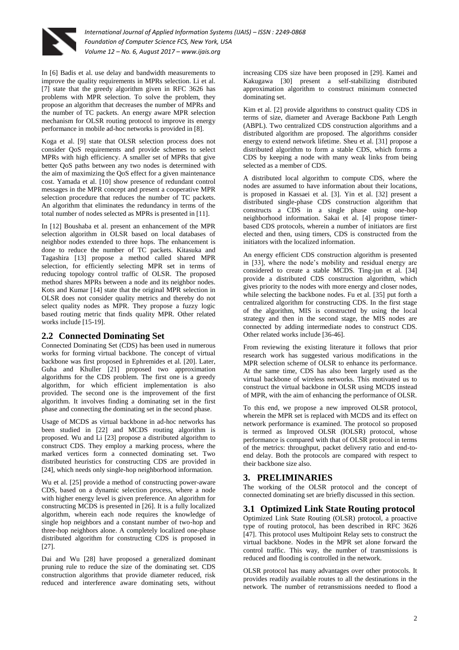

In [6] Badis et al. use delay and bandwidth measurements to improve the quality requirements in MPRs selection. Li et al. [7] state that the greedy algorithm given in RFC 3626 has problems with MPR selection. To solve the problem, they propose an algorithm that decreases the number of MPRs and the number of TC packets. An energy aware MPR selection mechanism for OLSR routing protocol to improve its energy performance in mobile ad-hoc networks is provided in [8].

Koga et al. [9] state that OLSR selection process does not consider QoS requirements and provide schemes to select MPRs with high efficiency. A smaller set of MPRs that give better QoS paths between any two nodes is determined with the aim of maximizing the QoS effect for a given maintenance cost. Yamada et al. [10] show presence of redundant control messages in the MPR concept and present a cooperative MPR selection procedure that reduces the number of TC packets. An algorithm that eliminates the redundancy in terms of the total number of nodes selected as MPRs is presented in [11].

In [12] Boushaba et al. present an enhancement of the MPR selection algorithm in OLSR based on local databases of neighbor nodes extended to three hops. The enhancement is done to reduce the number of TC packets. Kitasuka and Tagashira [13] propose a method called shared MPR selection, for efficiently selecting MPR set in terms of reducing topology control traffic of OLSR. The proposed method shares MPRs between a node and its neighbor nodes. Kots and Kumar [14] state that the original MPR selection in OLSR does not consider quality metrics and thereby do not select quality nodes as MPR. They propose a fuzzy logic based routing metric that finds quality MPR. Other related works include [15-19].

### **2.2 Connected Dominating Set**

Connected Dominating Set (CDS) has been used in numerous works for forming virtual backbone. The concept of virtual backbone was first proposed in Ephremides et al. [20]. Later, Guha and Khuller [21] proposed two approximation algorithms for the CDS problem. The first one is a greedy algorithm, for which efficient implementation is also provided. The second one is the improvement of the first algorithm. It involves finding a dominating set in the first phase and connecting the dominating set in the second phase.

Usage of MCDS as virtual backbone in ad-hoc networks has been studied in [22] and MCDS routing algorithm is proposed. Wu and Li [23] propose a distributed algorithm to construct CDS. They employ a marking process, where the marked vertices form a connected dominating set. Two distributed heuristics for constructing CDS are provided in [24], which needs only single-hop neighborhood information.

Wu et al. [25] provide a method of constructing power-aware CDS, based on a dynamic selection process, where a node with higher energy level is given preference. An algorithm for constructing MCDS is presented in [26]. It is a fully localized algorithm, wherein each node requires the knowledge of single hop neighbors and a constant number of two-hop and three-hop neighbors alone. A completely localized one-phase distributed algorithm for constructing CDS is proposed in [27].

Dai and Wu [28] have proposed a generalized dominant pruning rule to reduce the size of the dominating set. CDS construction algorithms that provide diameter reduced, risk reduced and interference aware dominating sets, without

increasing CDS size have been proposed in [29]. Kamei and Kakugawa [30] present a self-stabilizing distributed approximation algorithm to construct minimum connected dominating set.

Kim et al. [2] provide algorithms to construct quality CDS in terms of size, diameter and Average Backbone Path Length (ABPL). Two centralized CDS construction algorithms and a distributed algorithm are proposed. The algorithms consider energy to extend network lifetime. Sheu et al. [31] propose a distributed algorithm to form a stable CDS, which forms a CDS by keeping a node with many weak links from being selected as a member of CDS.

A distributed local algorithm to compute CDS, where the nodes are assumed to have information about their locations, is proposed in Kassaei et al. [3]. Yin et al. [32] present a distributed single-phase CDS construction algorithm that constructs a CDS in a single phase using one-hop neighborhood information. Sakai et al. [4] propose timerbased CDS protocols, wherein a number of initiators are first elected and then, using timers, CDS is constructed from the initiators with the localized information.

An energy efficient CDS construction algorithm is presented in [33], where the node's mobility and residual energy are considered to create a stable MCDS. Ting-jun et al. [34] provide a distributed CDS construction algorithm, which gives priority to the nodes with more energy and closer nodes, while selecting the backbone nodes. Fu et al. [35] put forth a centralized algorithm for constructing CDS. In the first stage of the algorithm, MIS is constructed by using the local strategy and then in the second stage, the MIS nodes are connected by adding intermediate nodes to construct CDS. Other related works include [36-46].

From reviewing the existing literature it follows that prior research work has suggested various modifications in the MPR selection scheme of OLSR to enhance its performance. At the same time, CDS has also been largely used as the virtual backbone of wireless networks. This motivated us to construct the virtual backbone in OLSR using MCDS instead of MPR, with the aim of enhancing the performance of OLSR.

To this end, we propose a new improved OLSR protocol, wherein the MPR set is replaced with MCDS and its effect on network performance is examined. The protocol so proposed is termed as Improved OLSR (IOLSR) protocol, whose performance is compared with that of OLSR protocol in terms of the metrics: throughput, packet delivery ratio and end-toend delay. Both the protocols are compared with respect to their backbone size also.

### **3. PRELIMINARIES**

The working of the OLSR protocol and the concept of connected dominating set are briefly discussed in this section.

### **3.1 Optimized Link State Routing protocol**

Optimized Link State Routing (OLSR) protocol, a proactive type of routing protocol, has been described in RFC 3626 [47]. This protocol uses Multipoint Relay sets to construct the virtual backbone. Nodes in the MPR set alone forward the control traffic. This way, the number of transmissions is reduced and flooding is controlled in the network.

OLSR protocol has many advantages over other protocols. It provides readily available routes to all the destinations in the network. The number of retransmissions needed to flood a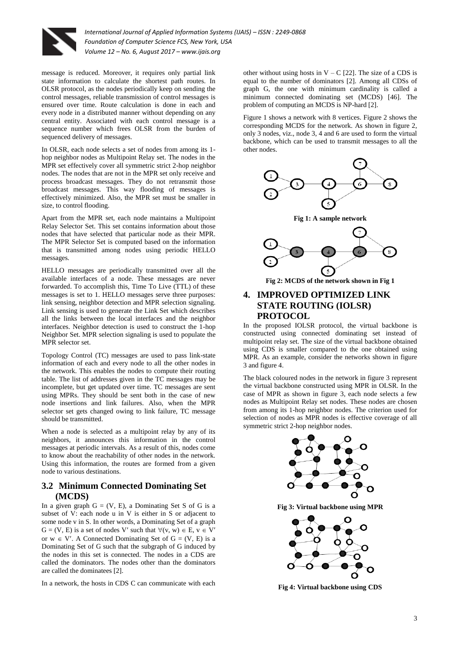

message is reduced. Moreover, it requires only partial link state information to calculate the shortest path routes. In OLSR protocol, as the nodes periodically keep on sending the control messages, reliable transmission of control messages is ensured over time. Route calculation is done in each and every node in a distributed manner without depending on any central entity. Associated with each control message is a sequence number which frees OLSR from the burden of sequenced delivery of messages.

In OLSR, each node selects a set of nodes from among its 1 hop neighbor nodes as Multipoint Relay set. The nodes in the MPR set effectively cover all symmetric strict 2-hop neighbor nodes. The nodes that are not in the MPR set only receive and process broadcast messages. They do not retransmit those broadcast messages. This way flooding of messages is effectively minimized. Also, the MPR set must be smaller in size, to control flooding.

Apart from the MPR set, each node maintains a Multipoint Relay Selector Set. This set contains information about those nodes that have selected that particular node as their MPR. The MPR Selector Set is computed based on the information that is transmitted among nodes using periodic HELLO messages.

HELLO messages are periodically transmitted over all the available interfaces of a node. These messages are never forwarded. To accomplish this, Time To Live (TTL) of these messages is set to 1. HELLO messages serve three purposes: link sensing, neighbor detection and MPR selection signaling. Link sensing is used to generate the Link Set which describes all the links between the local interfaces and the neighbor interfaces. Neighbor detection is used to construct the 1-hop Neighbor Set. MPR selection signaling is used to populate the MPR selector set.

Topology Control (TC) messages are used to pass link-state information of each and every node to all the other nodes in the network. This enables the nodes to compute their routing table. The list of addresses given in the TC messages may be incomplete, but get updated over time. TC messages are sent using MPRs. They should be sent both in the case of new node insertions and link failures. Also, when the MPR selector set gets changed owing to link failure, TC message should be transmitted.

When a node is selected as a multipoint relay by any of its neighbors, it announces this information in the control messages at periodic intervals. As a result of this, nodes come to know about the reachability of other nodes in the network. Using this information, the routes are formed from a given node to various destinations.

### **3.2 Minimum Connected Dominating Set (MCDS)**

In a given graph  $G = (V, E)$ , a Dominating Set S of G is a subset of V: each node u in V is either in S or adjacent to some node v in S. In other words, a Dominating Set of a graph  $G = (V, E)$  is a set of nodes V' such that  $\forall (v, w) \in E, v \in V'$ or  $w \in V'$ . A Connected Dominating Set of  $G = (V, E)$  is a Dominating Set of G such that the subgraph of G induced by the nodes in this set is connected. The nodes in a CDS are called the dominators. The nodes other than the dominators are called the dominatees [2].

In a network, the hosts in CDS C can communicate with each

other without using hosts in  $V - C$  [22]. The size of a CDS is equal to the number of dominators [2]. Among all CDSs of graph G, the one with minimum cardinality is called a minimum connected dominating set (MCDS) [46]. The problem of computing an MCDS is NP-hard [2].

Figure 1 shows a network with 8 vertices. Figure 2 shows the corresponding MCDS for the network. As shown in figure 2, only 3 nodes, viz., node 3, 4 and 6 are used to form the virtual backbone, which can be used to transmit messages to all the other nodes.



**Fig 1: A sample network**



**Fig 2: MCDS of the network shown in Fig 1**

### **4. IMPROVED OPTIMIZED LINK STATE ROUTING (IOLSR) PROTOCOL**

In the proposed IOLSR protocol, the virtual backbone is constructed using connected dominating set instead of multipoint relay set. The size of the virtual backbone obtained using CDS is smaller compared to the one obtained using MPR. As an example, consider the networks shown in figure 3 and figure 4.

The black coloured nodes in the network in figure 3 represent the virtual backbone constructed using MPR in OLSR. In the case of MPR as shown in figure 3, each node selects a few nodes as Multipoint Relay set nodes. These nodes are chosen from among its 1-hop neighbor nodes. The criterion used for selection of nodes as MPR nodes is effective coverage of all symmetric strict 2-hop neighbor nodes.



**Fig 3: Virtual backbone using MPR**



**Fig 4: Virtual backbone using CDS**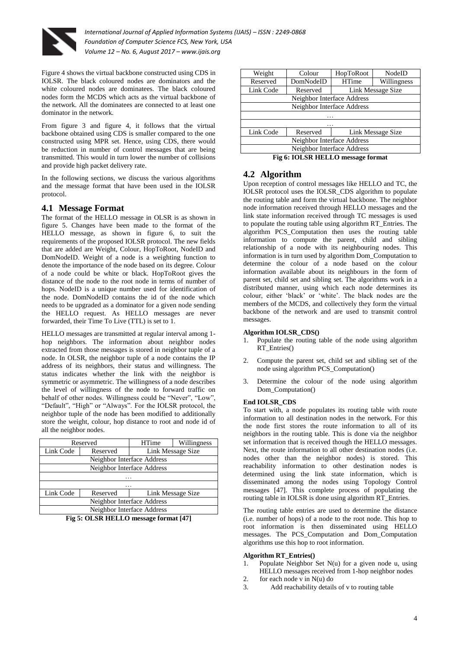

Figure 4 shows the virtual backbone constructed using CDS in IOLSR. The black coloured nodes are dominators and the white coloured nodes are dominatees. The black coloured nodes form the MCDS which acts as the virtual backbone of the network. All the dominatees are connected to at least one dominator in the network.

From figure 3 and figure 4, it follows that the virtual backbone obtained using CDS is smaller compared to the one constructed using MPR set. Hence, using CDS, there would be reduction in number of control messages that are being transmitted. This would in turn lower the number of collisions and provide high packet delivery rate.

In the following sections, we discuss the various algorithms and the message format that have been used in the IOLSR protocol.

### **4.1 Message Format**

The format of the HELLO message in OLSR is as shown in figure 5. Changes have been made to the format of the HELLO message, as shown in figure 6, to suit the requirements of the proposed IOLSR protocol. The new fields that are added are Weight, Colour, HopToRoot, NodeID and DomNodeID. Weight of a node is a weighting function to denote the importance of the node based on its degree. Colour of a node could be white or black. HopToRoot gives the distance of the node to the root node in terms of number of hops. NodeID is a unique number used for identification of the node. DomNodeID contains the id of the node which needs to be upgraded as a dominator for a given node sending the HELLO request. As HELLO messages are never forwarded, their Time To Live (TTL) is set to 1.

HELLO messages are transmitted at regular interval among 1 hop neighbors. The information about neighbor nodes extracted from those messages is stored in neighbor tuple of a node. In OLSR, the neighbor tuple of a node contains the IP address of its neighbors, their status and willingness. The status indicates whether the link with the neighbor is symmetric or asymmetric. The willingness of a node describes the level of willingness of the node to forward traffic on behalf of other nodes. Willingness could be "Never", "Low", "Default", "High" or "Always". For the IOLSR protocol, the neighbor tuple of the node has been modified to additionally store the weight, colour, hop distance to root and node id of all the neighbor nodes.

| Reserved                   |          | <b>HTime</b>      | Willingness |  |  |  |
|----------------------------|----------|-------------------|-------------|--|--|--|
| Link Code                  | Reserved | Link Message Size |             |  |  |  |
| Neighbor Interface Address |          |                   |             |  |  |  |
| Neighbor Interface Address |          |                   |             |  |  |  |
| .                          |          |                   |             |  |  |  |
| .                          |          |                   |             |  |  |  |
| Link Code                  | Reserved | Link Message Size |             |  |  |  |
| Neighbor Interface Address |          |                   |             |  |  |  |
| Neighbor Interface Address |          |                   |             |  |  |  |

**Fig 5: OLSR HELLO message format [47]**

| Weight                                                                                                  | Colour                        | HopToRoot         | NodeID      |  |  |  |
|---------------------------------------------------------------------------------------------------------|-------------------------------|-------------------|-------------|--|--|--|
| Reserved                                                                                                | DomNodeID                     | <b>HTime</b>      | Willingness |  |  |  |
| Link Code                                                                                               | Link Message Size<br>Reserved |                   |             |  |  |  |
| Neighbor Interface Address                                                                              |                               |                   |             |  |  |  |
| Neighbor Interface Address                                                                              |                               |                   |             |  |  |  |
| .                                                                                                       |                               |                   |             |  |  |  |
|                                                                                                         |                               |                   |             |  |  |  |
| Link Code                                                                                               | Reserved                      | Link Message Size |             |  |  |  |
| Neighbor Interface Address                                                                              |                               |                   |             |  |  |  |
| Neighbor Interface Address                                                                              |                               |                   |             |  |  |  |
| $\mathbf{r} \wedge \mathbf{r}$ and $\mathbf{r} \mathbf{r} \mathbf{r} \mathbf{r} \wedge \mathbf{r}$<br>- |                               |                   |             |  |  |  |

**Fig 6: IOLSR HELLO message format**

### **4.2 Algorithm**

Upon reception of control messages like HELLO and TC, the IOLSR protocol uses the IOLSR\_CDS algorithm to populate the routing table and form the virtual backbone. The neighbor node information received through HELLO messages and the link state information received through TC messages is used to populate the routing table using algorithm RT\_Entries. The algorithm PCS\_Computation then uses the routing table information to compute the parent, child and sibling relationship of a node with its neighbouring nodes. This information is in turn used by algorithm Dom\_Computation to determine the colour of a node based on the colour information available about its neighbours in the form of parent set, child set and sibling set. The algorithms work in a distributed manner, using which each node determines its colour, either 'black' or 'white'. The black nodes are the members of the MCDS, and collectively they form the virtual backbone of the network and are used to transmit control messages.

#### **Algorithm IOLSR\_CDS()**

- 1. Populate the routing table of the node using algorithm RT\_Entries()
- 2. Compute the parent set, child set and sibling set of the node using algorithm PCS\_Computation()
- 3. Determine the colour of the node using algorithm Dom Computation()

#### **End IOLSR\_CDS**

To start with, a node populates its routing table with route information to all destination nodes in the network. For this the node first stores the route information to all of its neighbors in the routing table. This is done via the neighbor set information that is received though the HELLO messages. Next, the route information to all other destination nodes (i.e. nodes other than the neighbor nodes) is stored. This reachability information to other destination nodes is determined using the link state information, which is disseminated among the nodes using Topology Control messages [47]. This complete process of populating the routing table in IOLSR is done using algorithm RT\_Entries.

The routing table entries are used to determine the distance (i.e. number of hops) of a node to the root node. This hop to root information is then disseminated using HELLO messages. The PCS\_Computation and Dom\_Computation algorithms use this hop to root information.

#### **Algorithm RT\_Entries()**

- Populate Neighbor Set  $N(u)$  for a given node u, using HELLO messages received from 1-hop neighbor nodes
- 2. for each node v in  $N(u)$  do
- 3. Add reachability details of v to routing table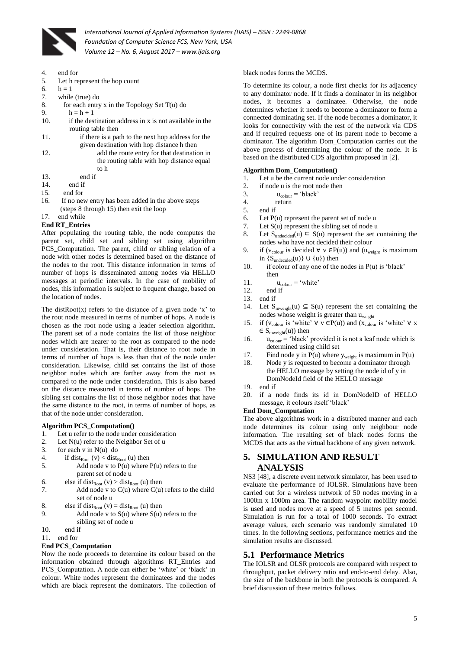

- 4. end for
- 5. Let h represent the hop count
- 6.  $h = 1$
- 7. while (true) do
- 8. for each entry x in the Topology Set  $T(u)$  do
- 9  $h = h + 1$
- 10. if the destination address in x is not available in the routing table then
- 11. if there is a path to the next hop address for the given destination with hop distance h then
- 12. add the route entry for that destination in the routing table with hop distance equal to h
- 
- 13. end if<br>14. end if end if
- 15. end for
- 
- 16. If no new entry has been added in the above steps (steps 8 through 15) then exit the loop

#### 17. end while **End RT\_Entries**

## After populating the routing table, the node computes the parent set, child set and sibling set using algorithm

PCS\_Computation. The parent, child or sibling relation of a node with other nodes is determined based on the distance of the nodes to the root. This distance information in terms of number of hops is disseminated among nodes via HELLO messages at periodic intervals. In the case of mobility of nodes, this information is subject to frequent change, based on the location of nodes.

The distRoot $(x)$  refers to the distance of a given node 'x' to the root node measured in terms of number of hops. A node is chosen as the root node using a leader selection algorithm. The parent set of a node contains the list of those neighbor nodes which are nearer to the root as compared to the node under consideration. That is, their distance to root node in terms of number of hops is less than that of the node under consideration. Likewise, child set contains the list of those neighbor nodes which are farther away from the root as compared to the node under consideration. This is also based on the distance measured in terms of number of hops. The sibling set contains the list of those neighbor nodes that have the same distance to the root, in terms of number of hops, as that of the node under consideration.

#### **Algorithm PCS\_Computation()**

- 1. Let u refer to the node under consideration
- 2. Let N(u) refer to the Neighbor Set of u
- 3. for each v in  $N(u)$  do
- 4. if dist $_{Root}(v) < dist_{Root}(u)$  then
- 5. Add node v to  $P(u)$  where  $P(u)$  refers to the parent set of node u
- 6. else if dist<sub>Root</sub> (v) > dist<sub>Root</sub> (u) then<br>7 Add node y to  $C(u)$  where  $C(u)$
- Add node v to  $C(u)$  where  $C(u)$  refers to the child set of node u

|  | 8. | else if dist <sub>Root</sub> (v) = dist <sub>Root</sub> (u) then |  |  |
|--|----|------------------------------------------------------------------|--|--|
|--|----|------------------------------------------------------------------|--|--|

- 9. Add node v to  $S(u)$  where  $S(u)$  refers to the sibling set of node u
- 10. end if
- 11. end for

#### **End PCS\_Computation**

Now the node proceeds to determine its colour based on the information obtained through algorithms RT\_Entries and PCS Computation. A node can either be 'white' or 'black' in colour. White nodes represent the dominatees and the nodes which are black represent the dominators. The collection of

#### black nodes forms the MCDS.

To determine its colour, a node first checks for its adjacency to any dominator node. If it finds a dominator in its neighbor nodes, it becomes a dominatee. Otherwise, the node determines whether it needs to become a dominator to form a connected dominating set. If the node becomes a dominator, it looks for connectivity with the rest of the network via CDS and if required requests one of its parent node to become a dominator. The algorithm Dom Computation carries out the above process of determining the colour of the node. It is based on the distributed CDS algorithm proposed in [2].

#### **Algorithm Dom\_Computation()**

- 1. Let u be the current node under consideration
- 2. if node u is the root node then
- 3.  $u_{\text{colour}} = \text{`black'}$ <br>4. return
- return
- 5. end if
- 6. Let  $P(u)$  represent the parent set of node u
- 7. Let S(u) represent the sibling set of node u
- 8. Let  $S_{undecided}(u) \subseteq S(u)$  represent the set containing the nodes who have not decided their colour
- 9. if  $(v_{\text{colour}}$  is decided  $\forall$  v  $\in P(u)$ ) and  $(u_{\text{weight}})$  is maximum in  $\{S_{undecided}(u)\} \cup \{u\}$ ) then
- 10. if colour of any one of the nodes in  $P(u)$  is 'black' then
- 11.  $u_{\text{colour}} = 'white'$ <br>12 end if
- end if
- 13. end if
- 14. Let  $S_{\text{mweight}}(u) \subseteq S(u)$  represent the set containing the nodes whose weight is greater than  $u_{weight}$
- 15. if  $(v_{\text{colour}} \text{ is 'white' } \forall \text{ v } \in P(u)$  and  $(x_{\text{colour}} \text{ is 'white' } \forall \text{ x}$  $\in \mathcal{S}_{\text{mweight}}(\mathbf{u}))$  then
- 16.  $u_{\text{colour}} = 'black'$  provided it is not a leaf node which is determined using child set
- 17. Find node y in  $P(u)$  where  $y_{weight}$  is maximum in  $P(u)$
- 18. Node y is requested to become a dominator through the HELLO message by setting the node id of y in DomNodeId field of the HELLO message
- 19. end if
- 20. if a node finds its id in DomNodeID of HELLO message, it colours itself 'black'

#### **End Dom\_Computation**

The above algorithms work in a distributed manner and each node determines its colour using only neighbour node information. The resulting set of black nodes forms the MCDS that acts as the virtual backbone of any given network.

### **5. SIMULATION AND RESULT ANALYSIS**

NS3 [48], a discrete event network simulator, has been used to evaluate the performance of IOLSR. Simulations have been carried out for a wireless network of 50 nodes moving in a 1000m x 1000m area. The random waypoint mobility model is used and nodes move at a speed of 5 metres per second. Simulation is run for a total of 1000 seconds. To extract average values, each scenario was randomly simulated 10 times. In the following sections, performance metrics and the simulation results are discussed.

#### **5.1 Performance Metrics**

The IOLSR and OLSR protocols are compared with respect to throughput, packet delivery ratio and end-to-end delay. Also, the size of the backbone in both the protocols is compared. A brief discussion of these metrics follows.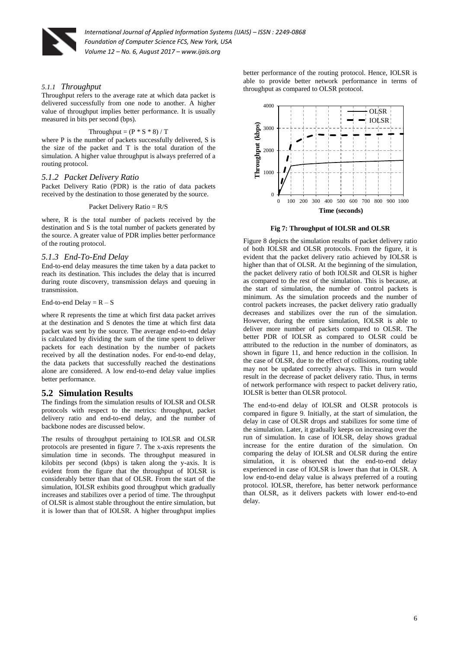

#### *5.1.1 Throughput*

Throughput refers to the average rate at which data packet is delivered successfully from one node to another. A higher value of throughput implies better performance. It is usually measured in bits per second (bps).

#### Throughput =  $(P * S * 8) / T$

where P is the number of packets successfully delivered, S is the size of the packet and T is the total duration of the simulation. A higher value throughput is always preferred of a routing protocol.

#### *5.1.2 Packet Delivery Ratio*

Packet Delivery Ratio (PDR) is the ratio of data packets received by the destination to those generated by the source.

#### Packet Delivery Ratio = R/S

where, R is the total number of packets received by the destination and S is the total number of packets generated by the source. A greater value of PDR implies better performance of the routing protocol.

#### *5.1.3 End-To-End Delay*

End-to-end delay measures the time taken by a data packet to reach its destination. This includes the delay that is incurred during route discovery, transmission delays and queuing in transmission.

#### End-to-end Delay =  $R - S$

where R represents the time at which first data packet arrives at the destination and S denotes the time at which first data packet was sent by the source. The average end-to-end delay is calculated by dividing the sum of the time spent to deliver packets for each destination by the number of packets received by all the destination nodes. For end-to-end delay, the data packets that successfully reached the destinations alone are considered. A low end-to-end delay value implies better performance.

#### **5.2 Simulation Results**

The findings from the simulation results of IOLSR and OLSR protocols with respect to the metrics: throughput, packet delivery ratio and end-to-end delay, and the number of backbone nodes are discussed below.

The results of throughput pertaining to IOLSR and OLSR protocols are presented in figure 7. The x-axis represents the simulation time in seconds. The throughput measured in kilobits per second (kbps) is taken along the y-axis. It is evident from the figure that the throughput of IOLSR is considerably better than that of OLSR. From the start of the simulation, IOLSR exhibits good throughput which gradually increases and stabilizes over a period of time. The throughput of OLSR is almost stable throughout the entire simulation, but it is lower than that of IOLSR. A higher throughput implies

better performance of the routing protocol. Hence, IOLSR is able to provide better network performance in terms of throughput as compared to OLSR protocol.



#### **Fig 7: Throughput of IOLSR and OLSR**

Figure 8 depicts the simulation results of packet delivery ratio of both IOLSR and OLSR protocols. From the figure, it is evident that the packet delivery ratio achieved by IOLSR is higher than that of OLSR. At the beginning of the simulation, the packet delivery ratio of both IOLSR and OLSR is higher as compared to the rest of the simulation. This is because, at the start of simulation, the number of control packets is minimum. As the simulation proceeds and the number of control packets increases, the packet delivery ratio gradually decreases and stabilizes over the run of the simulation. However, during the entire simulation, IOLSR is able to deliver more number of packets compared to OLSR. The better PDR of IOLSR as compared to OLSR could be attributed to the reduction in the number of dominators, as shown in figure 11, and hence reduction in the collision. In the case of OLSR, due to the effect of collisions, routing table may not be updated correctly always. This in turn would result in the decrease of packet delivery ratio. Thus, in terms of network performance with respect to packet delivery ratio, IOLSR is better than OLSR protocol.

The end-to-end delay of IOLSR and OLSR protocols is compared in figure 9. Initially, at the start of simulation, the delay in case of OLSR drops and stabilizes for some time of the simulation. Later, it gradually keeps on increasing over the run of simulation. In case of IOLSR, delay shows gradual increase for the entire duration of the simulation. On comparing the delay of IOLSR and OLSR during the entire simulation, it is observed that the end-to-end delay experienced in case of IOLSR is lower than that in OLSR. A low end-to-end delay value is always preferred of a routing protocol. IOLSR, therefore, has better network performance than OLSR, as it delivers packets with lower end-to-end delay.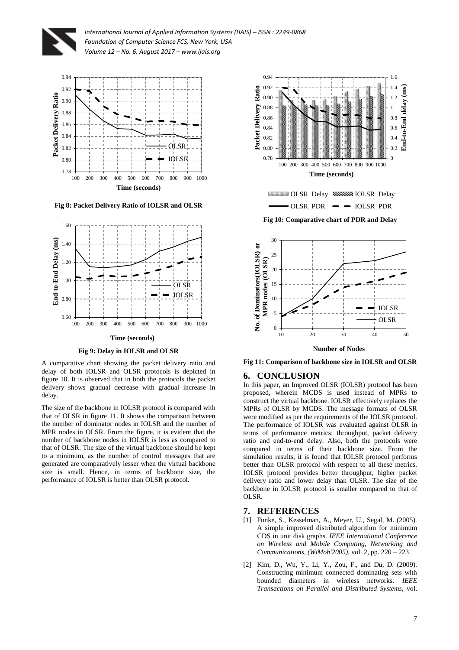



**Fig 8: Packet Delivery Ratio of IOLSR and OLSR**



**Fig 9: Delay in IOLSR and OLSR**

A comparative chart showing the packet delivery ratio and delay of both IOLSR and OLSR protocols is depicted in figure 10. It is observed that in both the protocols the packet delivery shows gradual decrease with gradual increase in delay.

The size of the backbone in IOLSR protocol is compared with that of OLSR in figure 11. It shows the comparison between the number of dominator nodes in IOLSR and the number of MPR nodes in OLSR. From the figure, it is evident that the number of backbone nodes in IOLSR is less as compared to that of OLSR. The size of the virtual backbone should be kept to a minimum, as the number of control messages that are generated are comparatively lesser when the virtual backbone size is small. Hence, in terms of backbone size, the performance of IOLSR is better than OLSR protocol.





**Fig 11: Comparison of backbone size in IOLSR and OLSR**

#### **6. CONCLUSION**

In this paper, an Improved OLSR (IOLSR) protocol has been proposed, wherein MCDS is used instead of MPRs to construct the virtual backbone. IOLSR effectively replaces the MPRs of OLSR by MCDS. The message formats of OLSR were modified as per the requirements of the IOLSR protocol. The performance of IOLSR was evaluated against OLSR in terms of performance metrics: throughput, packet delivery ratio and end-to-end delay. Also, both the protocols were compared in terms of their backbone size. From the simulation results, it is found that IOLSR protocol performs better than OLSR protocol with respect to all these metrics. IOLSR protocol provides better throughput, higher packet delivery ratio and lower delay than OLSR. The size of the backbone in IOLSR protocol is smaller compared to that of OLSR.

#### **7. REFERENCES**

- [1] Funke, S., Kesselman, A., Meyer, U., Segal, M. (2005). A simple improved distributed algorithm for minimum CDS in unit disk graphs. *IEEE International Conference on Wireless and Mobile Computing, Networking and Communications, (WiMob'2005),* vol. 2, pp. 220 – 223.
- [2] Kim, D., Wu, Y., Li, Y., Zou, F., and Du, D. (2009). Constructing minimum connected dominating sets with bounded diameters in wireless networks. *IEEE Transactions on Parallel and Distributed Systems,* vol.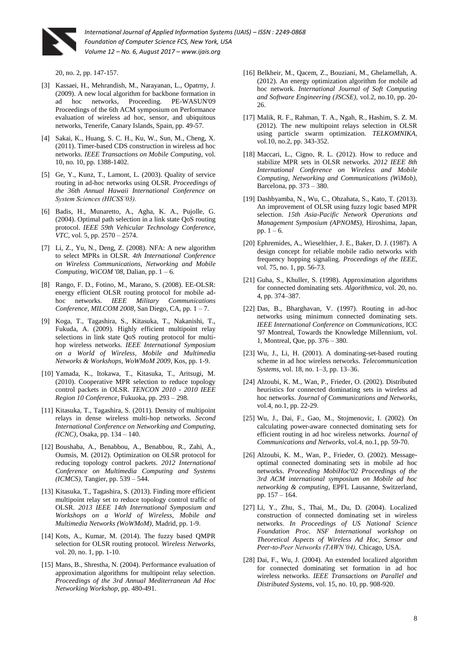

20, no. 2, pp. 147-157.

- [3] Kassaei, H., Mehrandish, M., Narayanan, L., Opatrny, J. (2009). A new local algorithm for backbone formation in ad hoc networks, Proceeding. PE-WASUN'09 ad hoc networks, Proceeding. PE-WASUN'09 Proceedings of the 6th ACM symposium on Performance evaluation of wireless ad hoc, sensor, and ubiquitous networks, Tenerife, Canary Islands, Spain, pp. 49-57.
- [4] Sakai, K., Huang, S. C. H., Ku, W., Sun, M., Cheng, X. (2011). Timer-based CDS construction in wireless ad hoc networks. *IEEE Transactions on Mobile Computing,* vol. 10, no. 10, pp. 1388-1402.
- [5] Ge, Y., Kunz, T., Lamont, L. (2003). Quality of service routing in ad-hoc networks using OLSR. *Proceedings of the 36th Annual Hawaii International Conference on System Sciences (HICSS'03).*
- [6] Badis, H., Munaretto, A., Agha, K. A., Pujolle, G. (2004). Optimal path selection in a link state QoS routing protocol. *IEEE 59th Vehicular Technology Conference, VTC,* vol. 5, pp. 2570 – 2574.
- [7] Li, Z., Yu, N., Deng, Z. (2008). NFA: A new algorithm to select MPRs in OLSR. *4th International Conference on Wireless Communications, Networking and Mobile Computing, WiCOM '08*, Dalian, pp. 1 – 6.
- [8] Rango, F. D., Fotino, M., Marano, S. (2008). EE-OLSR: energy efficient OLSR routing protocol for mobile adhoc networks. *IEEE Military Communications Conference, MILCOM 2008*, San Diego, CA, pp. 1 – 7.
- [9] Koga, T., Tagashira, S., Kitasuka, T., Nakanishi, T., Fukuda, A. (2009). Highly efficient multipoint relay selections in link state QoS routing protocol for multihop wireless networks. *IEEE International Symposium on a World of Wireless, Mobile and Multimedia Networks & Workshops, WoWMoM 2009*, Kos, pp. 1-9.
- [10] Yamada, K., Itokawa, T., Kitasuka, T., Aritsugi, M. (2010). Cooperative MPR selection to reduce topology control packets in OLSR. *TENCON 2010 - 2010 IEEE Region 10 Conference*, Fukuoka, pp. 293 – 298.
- [11] Kitasuka, T., Tagashira, S. (2011). Density of multipoint relays in dense wireless multi-hop networks. *Second International Conference on Networking and Computing, (ICNC),* Osaka, pp. 134 – 140.
- [12] Boushaba, A., Benabbou, A., Benabbou, R., Zahi, A., Oumsis, M. (2012). Optimization on OLSR protocol for reducing topology control packets. *2012 International Conference on Multimedia Computing and Systems (ICMCS),* Tangier, pp. 539 – 544.
- [13] Kitasuka, T., Tagashira, S. (2013). Finding more efficient multipoint relay set to reduce topology control traffic of OLSR. *2013 IEEE 14th International Symposium and Workshops on a World of Wireless, Mobile and Multimedia Networks (WoWMoM),* Madrid, pp. 1-9.
- [14] Kots, A., Kumar, M. (2014). The fuzzy based QMPR selection for OLSR routing protocol. *Wireless Networks,* vol. 20, no. 1, pp. 1-10.
- [15] Mans, B., Shrestha, N. (2004). Performance evaluation of approximation algorithms for multipoint relay selection. *Proceedings of the 3rd Annual Mediterranean Ad Hoc Networking Workshop,* pp. 480-491.
- [16] Belkheir, M., Qacem, Z., Bouziani, M., Ghelamellah, A. (2012). An energy optimization algorithm for mobile ad hoc network. *International Journal of Soft Computing and Software Engineering (JSCSE),* vol.2, no.10, pp. 20- 26.
- [17] Malik, R. F., Rahman, T. A., Ngah, R., Hashim, S. Z. M. (2012). The new multipoint relays selection in OLSR using particle swarm optimization. *TELKOMNIKA,* vol.10, no.2, pp. 343-352.
- [18] Maccari, L., Cigno, R. L. (2012). How to reduce and stabilize MPR sets in OLSR networks. *2012 IEEE 8th International Conference on Wireless and Mobile Computing, Networking and Communications (WiMob),* Barcelona, pp. 373 – 380.
- [19] Dashbyamba, N., Wu, C., Ohzahata, S., Kato, T. (2013). An improvement of OLSR using fuzzy logic based MPR selection. *15th Asia-Pacific Network Operations and Management Symposium (APNOMS),* Hiroshima, Japan, pp.  $1 - 6$ .
- [20] Ephremides, A., Wieselthier, J. E., Baker, D. J. (1987). A design concept for reliable mobile radio networks with frequency hopping signaling. *Proceedings of the IEEE,* vol. 75, no. 1, pp. 56-73.
- [21] Guha, S., Khuller, S. (1998). Approximation algorithms for connected dominating sets. *Algorithmica,* vol. 20, no. 4, pp. 374–387.
- [22] Das, B., Bharghavan, V. (1997). Routing in ad-hoc networks using minimum connected dominating sets. *IEEE International Conference on Communications,* ICC '97 Montreal, Towards the Knowledge Millennium, vol. 1, Montreal, Que, pp. 376 – 380.
- [23] Wu, J., Li, H. (2001). A dominating-set-based routing scheme in ad hoc wireless networks. *Telecommunication Systems,* vol. 18, no. 1–3, pp. 13–36.
- [24] Alzoubi, K. M., Wan, P., Frieder, O. (2002). Distributed heuristics for connected dominating sets in wireless ad hoc networks. *Journal of Communications and Networks,* vol.4, no.1, pp. 22-29.
- [25] Wu, J., Dai, F., Gao, M., Stojmenovic, I. (2002). On calculating power-aware connected dominating sets for efficient routing in ad hoc wireless networks. *Journal of Communications and Networks,* vol.4, no.1, pp. 59-70.
- [26] Alzoubi, K. M., Wan, P., Frieder, O. (2002). Messageoptimal connected dominating sets in mobile ad hoc networks. *Proceeding MobiHoc'02 Proceedings of the 3rd ACM international symposium on Mobile ad hoc networking & computing,* EPFL Lausanne, Switzerland, pp. 157 – 164.
- [27] Li, Y., Zhu, S., Thai, M., Du, D. (2004). Localized construction of connected dominating set in wireless networks. *In Proceedings of US National Science Foundation Proc. NSF International workshop on Theoretical Aspects of Wireless Ad Hoc, Sensor and Peer-to-Peer Networks (TAWN'04),* Chicago, USA.
- [28] Dai, F., Wu, J. (2004). An extended localized algorithm for connected dominating set formation in ad hoc wireless networks. *IEEE Transactions on Parallel and Distributed Systems,* vol. 15, no. 10, pp. 908-920.